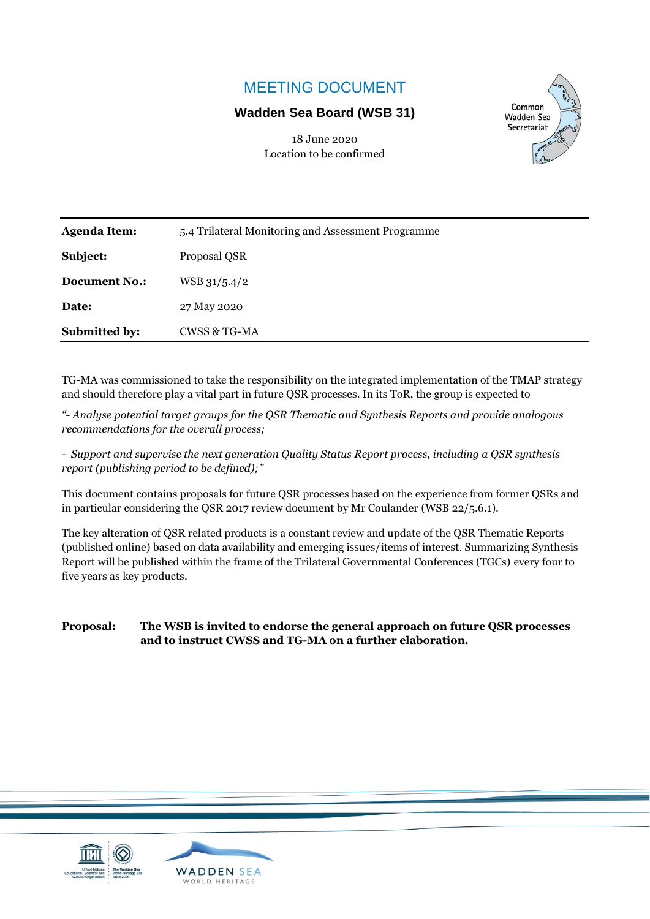# MEETING DOCUMENT

# **Wadden Sea Board (WSB 31)**



18 June 2020 Location to be confirmed

| <b>Agenda Item:</b>  | 5.4 Trilateral Monitoring and Assessment Programme |
|----------------------|----------------------------------------------------|
| Subject:             | Proposal QSR                                       |
| <b>Document No.:</b> | $WSB$ 31/5.4/2                                     |
| Date:                | 27 May 2020                                        |
| Submitted by:        | <b>CWSS &amp; TG-MA</b>                            |
|                      |                                                    |

TG-MA was commissioned to take the responsibility on the integrated implementation of the TMAP strategy and should therefore play a vital part in future QSR processes. In its ToR, the group is expected to

*"- Analyse potential target groups for the QSR Thematic and Synthesis Reports and provide analogous recommendations for the overall process;*

*- Support and supervise the next generation Quality Status Report process, including a QSR synthesis report (publishing period to be defined);"*

This document contains proposals for future QSR processes based on the experience from former QSRs and in particular considering the QSR 2017 review document by Mr Coulander (WSB 22/5.6.1).

The key alteration of QSR related products is a constant review and update of the QSR Thematic Reports (published online) based on data availability and emerging issues/items of interest. Summarizing Synthesis Report will be published within the frame of the Trilateral Governmental Conferences (TGCs) every four to five years as key products.

**Proposal: The WSB is invited to endorse the general approach on future QSR processes and to instruct CWSS and TG-MA on a further elaboration.**



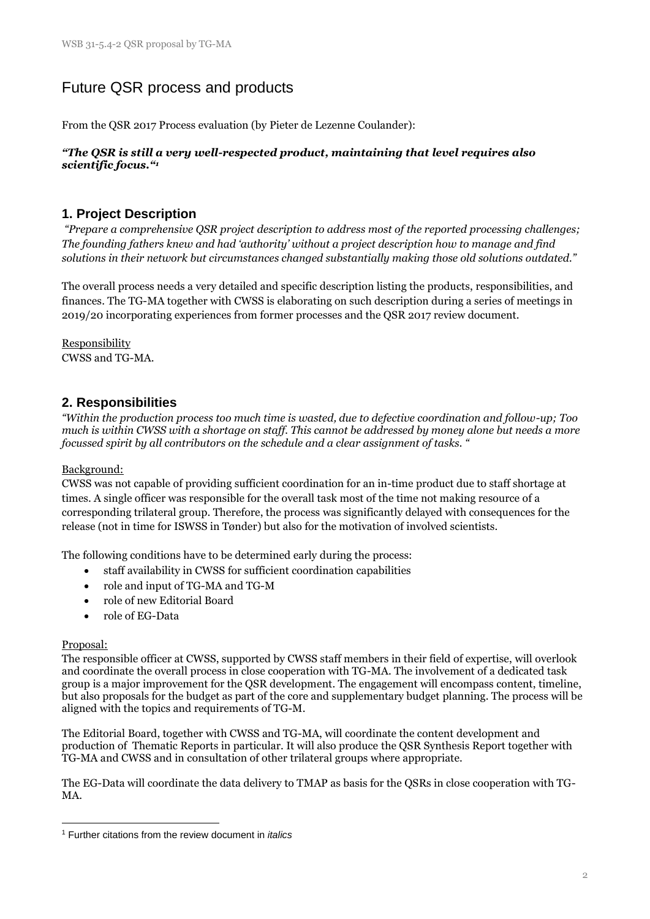# Future QSR process and products

From the QSR 2017 Process evaluation (by Pieter de Lezenne Coulander):

#### *"The QSR is still a very well-respected product, maintaining that level requires also scientific focus."<sup>1</sup>*

# **1. Project Description**

*"Prepare a comprehensive QSR project description to address most of the reported processing challenges; The founding fathers knew and had 'authority' without a project description how to manage and find solutions in their network but circumstances changed substantially making those old solutions outdated."*

The overall process needs a very detailed and specific description listing the products, responsibilities, and finances. The TG-MA together with CWSS is elaborating on such description during a series of meetings in 2019/20 incorporating experiences from former processes and the QSR 2017 review document.

Responsibility CWSS and TG-MA.

# **2. Responsibilities**

*"Within the production process too much time is wasted, due to defective coordination and follow-up; Too much is within CWSS with a shortage on staff. This cannot be addressed by money alone but needs a more focussed spirit by all contributors on the schedule and a clear assignment of tasks. "*

## Background:

CWSS was not capable of providing sufficient coordination for an in-time product due to staff shortage at times. A single officer was responsible for the overall task most of the time not making resource of a corresponding trilateral group. Therefore, the process was significantly delayed with consequences for the release (not in time for ISWSS in Tønder) but also for the motivation of involved scientists.

The following conditions have to be determined early during the process:

- staff availability in CWSS for sufficient coordination capabilities
- role and input of TG-MA and TG-M
- role of new Editorial Board
- role of EG-Data

#### Proposal:

The responsible officer at CWSS, supported by CWSS staff members in their field of expertise, will overlook and coordinate the overall process in close cooperation with TG-MA. The involvement of a dedicated task group is a major improvement for the QSR development. The engagement will encompass content, timeline, but also proposals for the budget as part of the core and supplementary budget planning. The process will be aligned with the topics and requirements of TG-M.

The Editorial Board, together with CWSS and TG-MA, will coordinate the content development and production of Thematic Reports in particular. It will also produce the QSR Synthesis Report together with TG-MA and CWSS and in consultation of other trilateral groups where appropriate.

The EG-Data will coordinate the data delivery to TMAP as basis for the QSRs in close cooperation with TG-MA.

<sup>1</sup> Further citations from the review document in *italics*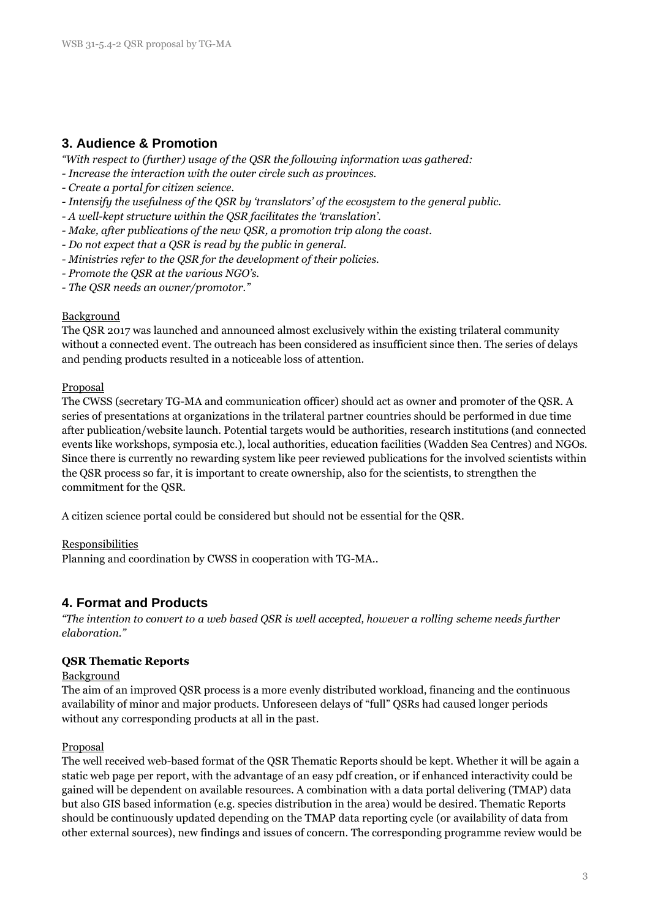# **3. Audience & Promotion**

*"With respect to (further) usage of the QSR the following information was gathered:*

- *- Increase the interaction with the outer circle such as provinces.*
- *- Create a portal for citizen science.*
- *- Intensify the usefulness of the QSR by 'translators' of the ecosystem to the general public.*
- *- A well-kept structure within the QSR facilitates the 'translation'.*
- *- Make, after publications of the new QSR, a promotion trip along the coast.*
- *- Do not expect that a QSR is read by the public in general.*
- *- Ministries refer to the QSR for the development of their policies.*
- *- Promote the QSR at the various NGO's.*
- *- The QSR needs an owner/promotor."*

### **Background**

The QSR 2017 was launched and announced almost exclusively within the existing trilateral community without a connected event. The outreach has been considered as insufficient since then. The series of delays and pending products resulted in a noticeable loss of attention.

### Proposal

The CWSS (secretary TG-MA and communication officer) should act as owner and promoter of the QSR. A series of presentations at organizations in the trilateral partner countries should be performed in due time after publication/website launch. Potential targets would be authorities, research institutions (and connected events like workshops, symposia etc.), local authorities, education facilities (Wadden Sea Centres) and NGOs. Since there is currently no rewarding system like peer reviewed publications for the involved scientists within the QSR process so far, it is important to create ownership, also for the scientists, to strengthen the commitment for the QSR.

A citizen science portal could be considered but should not be essential for the QSR.

#### Responsibilities

Planning and coordination by CWSS in cooperation with TG-MA..

# **4. Format and Products**

*"The intention to convert to a web based QSR is well accepted, however a rolling scheme needs further elaboration."*

## **QSR Thematic Reports**

#### Background

The aim of an improved QSR process is a more evenly distributed workload, financing and the continuous availability of minor and major products. Unforeseen delays of "full" QSRs had caused longer periods without any corresponding products at all in the past.

## Proposal

The well received web-based format of the QSR Thematic Reports should be kept. Whether it will be again a static web page per report, with the advantage of an easy pdf creation, or if enhanced interactivity could be gained will be dependent on available resources. A combination with a data portal delivering (TMAP) data but also GIS based information (e.g. species distribution in the area) would be desired. Thematic Reports should be continuously updated depending on the TMAP data reporting cycle (or availability of data from other external sources), new findings and issues of concern. The corresponding programme review would be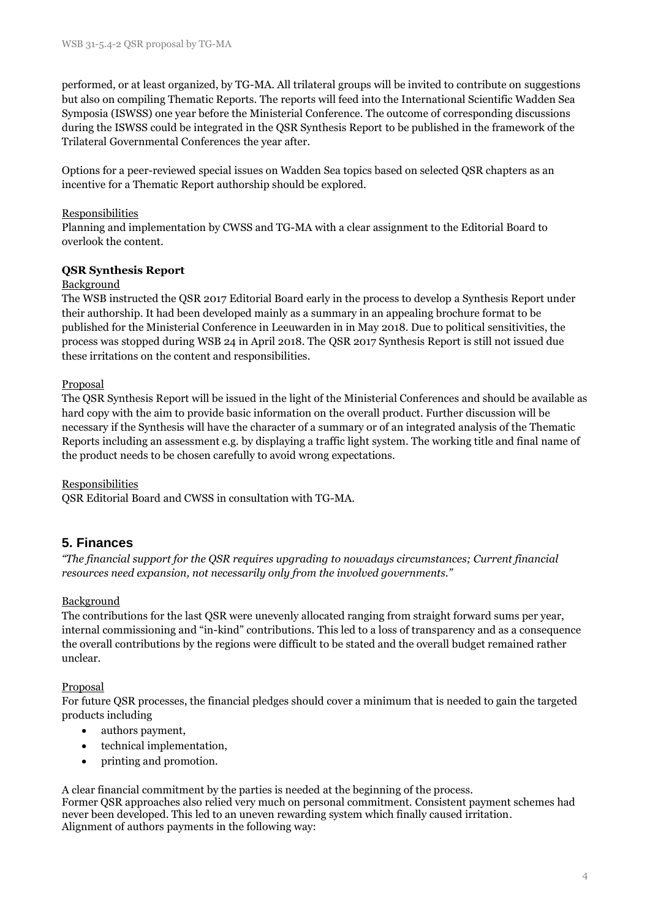performed, or at least organized, by TG-MA. All trilateral groups will be invited to contribute on suggestions but also on compiling Thematic Reports. The reports will feed into the International Scientific Wadden Sea Symposia (ISWSS) one year before the Ministerial Conference. The outcome of corresponding discussions during the ISWSS could be integrated in the QSR Synthesis Report to be published in the framework of the Trilateral Governmental Conferences the year after.

Options for a peer-reviewed special issues on Wadden Sea topics based on selected QSR chapters as an incentive for a Thematic Report authorship should be explored.

## Responsibilities

Planning and implementation by CWSS and TG-MA with a clear assignment to the Editorial Board to overlook the content.

### **QSR Synthesis Report**

#### Background

The WSB instructed the QSR 2017 Editorial Board early in the process to develop a Synthesis Report under their authorship. It had been developed mainly as a summary in an appealing brochure format to be published for the Ministerial Conference in Leeuwarden in in May 2018. Due to political sensitivities, the process was stopped during WSB 24 in April 2018. The QSR 2017 Synthesis Report is still not issued due these irritations on the content and responsibilities.

### Proposal

The QSR Synthesis Report will be issued in the light of the Ministerial Conferences and should be available as hard copy with the aim to provide basic information on the overall product. Further discussion will be necessary if the Synthesis will have the character of a summary or of an integrated analysis of the Thematic Reports including an assessment e.g. by displaying a traffic light system. The working title and final name of the product needs to be chosen carefully to avoid wrong expectations.

#### Responsibilities

QSR Editorial Board and CWSS in consultation with TG-MA.

# **5. Finances**

*"The financial support for the QSR requires upgrading to nowadays circumstances; Current financial resources need expansion, not necessarily only from the involved governments."*

## Background

The contributions for the last QSR were unevenly allocated ranging from straight forward sums per year, internal commissioning and "in-kind" contributions. This led to a loss of transparency and as a consequence the overall contributions by the regions were difficult to be stated and the overall budget remained rather unclear.

## Proposal

For future QSR processes, the financial pledges should cover a minimum that is needed to gain the targeted products including

- authors payment,
- technical implementation,
- printing and promotion.

A clear financial commitment by the parties is needed at the beginning of the process. Former QSR approaches also relied very much on personal commitment. Consistent payment schemes had never been developed. This led to an uneven rewarding system which finally caused irritation. Alignment of authors payments in the following way: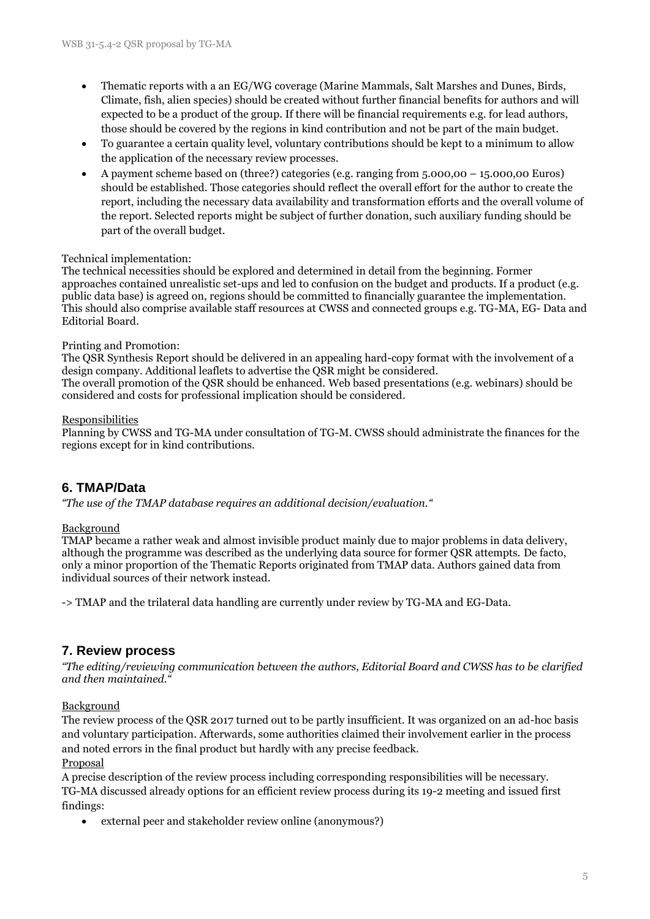- Thematic reports with a an EG/WG coverage (Marine Mammals, Salt Marshes and Dunes, Birds, Climate, fish, alien species) should be created without further financial benefits for authors and will expected to be a product of the group. If there will be financial requirements e.g. for lead authors, those should be covered by the regions in kind contribution and not be part of the main budget.
- To guarantee a certain quality level, voluntary contributions should be kept to a minimum to allow the application of the necessary review processes.
- A payment scheme based on (three?) categories (e.g. ranging from 5.000,00 15.000,00 Euros) should be established. Those categories should reflect the overall effort for the author to create the report, including the necessary data availability and transformation efforts and the overall volume of the report. Selected reports might be subject of further donation, such auxiliary funding should be part of the overall budget.

### Technical implementation:

The technical necessities should be explored and determined in detail from the beginning. Former approaches contained unrealistic set-ups and led to confusion on the budget and products. If a product (e.g. public data base) is agreed on, regions should be committed to financially guarantee the implementation. This should also comprise available staff resources at CWSS and connected groups e.g. TG-MA, EG- Data and Editorial Board.

#### Printing and Promotion:

The QSR Synthesis Report should be delivered in an appealing hard-copy format with the involvement of a design company. Additional leaflets to advertise the QSR might be considered. The overall promotion of the QSR should be enhanced. Web based presentations (e.g. webinars) should be considered and costs for professional implication should be considered.

#### Responsibilities

Planning by CWSS and TG-MA under consultation of TG-M. CWSS should administrate the finances for the regions except for in kind contributions.

# **6. TMAP/Data**

*"The use of the TMAP database requires an additional decision/evaluation."*

## **Background**

TMAP became a rather weak and almost invisible product mainly due to major problems in data delivery, although the programme was described as the underlying data source for former QSR attempts. De facto, only a minor proportion of the Thematic Reports originated from TMAP data. Authors gained data from individual sources of their network instead.

-> TMAP and the trilateral data handling are currently under review by TG-MA and EG-Data.

# **7. Review process**

*"The editing/reviewing communication between the authors, Editorial Board and CWSS has to be clarified and then maintained."*

Background

The review process of the QSR 2017 turned out to be partly insufficient. It was organized on an ad-hoc basis and voluntary participation. Afterwards, some authorities claimed their involvement earlier in the process and noted errors in the final product but hardly with any precise feedback.

#### Proposal

A precise description of the review process including corresponding responsibilities will be necessary. TG-MA discussed already options for an efficient review process during its 19-2 meeting and issued first findings:

• external peer and stakeholder review online (anonymous?)